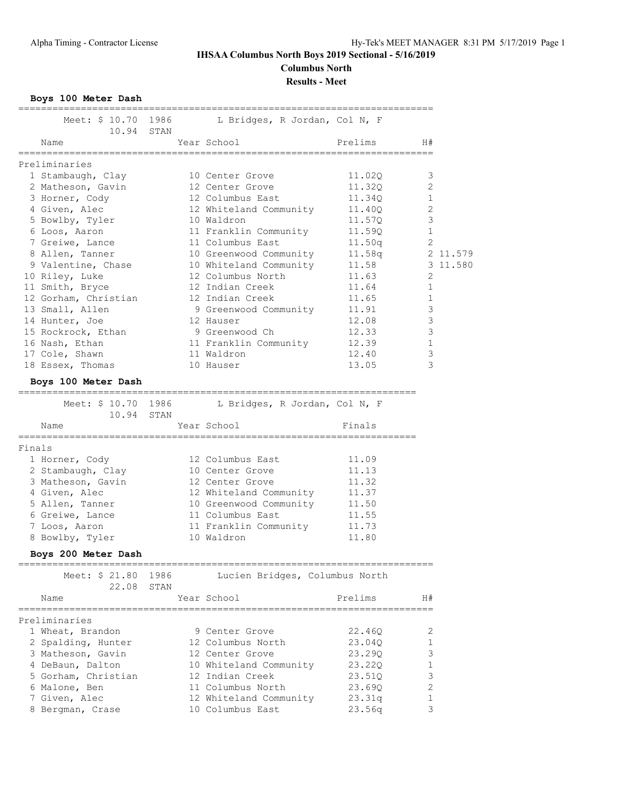## **IHSAA Columbus North Boys 2019 Sectional - 5/16/2019 Columbus North**

**Results - Meet**

**Boys 100 Meter Dash**

| Meet: \$ 10.70<br>10.94 STAN | 1986         | L Bridges, R Jordan, Col N, F      |                                    |                |          |
|------------------------------|--------------|------------------------------------|------------------------------------|----------------|----------|
| Name<br>=================    |              | Year School<br>,,,,,,,,,,,,,,,,,,, | Prelims<br>======================= | H#             |          |
| Preliminaries                |              |                                    |                                    |                |          |
| 1 Stambaugh, Clay            |              | 10 Center Grove                    | 11.020                             | 3              |          |
| 2 Matheson, Gavin            |              | 12 Center Grove                    | 11.320                             | 2              |          |
| 3 Horner, Cody               |              | 12 Columbus East                   | 11.34Q                             | 1              |          |
| 4 Given, Alec                |              | 12 Whiteland Community             | 11.40Q                             | 2              |          |
| 5 Bowlby, Tyler              |              | 10 Waldron                         | 11.570                             | $\mathsf 3$    |          |
| 6 Loos, Aaron                |              | 11 Franklin Community              | 11.59Q                             | $\mathbf{1}$   |          |
| 7 Greiwe, Lance              |              | 11 Columbus East                   | 11.50q                             | $\overline{2}$ |          |
| 8 Allen, Tanner              |              | 10 Greenwood Community             | 11.58q                             |                | 2 11.579 |
| 9 Valentine, Chase           |              | 10 Whiteland Community             | 11.58                              |                | 3 11.580 |
| 10 Riley, Luke               |              | 12 Columbus North                  | 11.63                              | 2              |          |
| 11 Smith, Bryce              |              | 12 Indian Creek                    | 11.64                              | 1              |          |
| 12 Gorham, Christian         |              | 12 Indian Creek                    | 11.65                              | 1              |          |
| 13 Small, Allen              |              | 9 Greenwood Community              | 11.91                              | 3              |          |
| 14 Hunter, Joe               |              | 12 Hauser                          | 12.08                              | 3              |          |
| 15 Rockrock, Ethan           |              | 9 Greenwood Ch                     | 12.33                              | $\mathsf 3$    |          |
| 16 Nash, Ethan               |              | 11 Franklin Community              | 12.39                              | 1              |          |
| 17 Cole, Shawn               |              | 11 Waldron                         | 12.40                              | $\mathsf 3$    |          |
| 18 Essex, Thomas             |              | 10 Hauser                          | 13.05                              | 3              |          |
| Boys 100 Meter Dash          |              |                                    |                                    |                |          |
| Meet: \$ 10.70 1986<br>10.94 | STAN         | L Bridges, R Jordan, Col N, F      |                                    |                |          |
| Name                         |              | Year School                        | Finals                             |                |          |
| =============                |              |                                    |                                    |                |          |
| Finals                       |              |                                    |                                    |                |          |
| 1 Horner, Cody               |              | 12 Columbus East                   | 11.09                              |                |          |
| 2 Stambaugh, Clay            |              | 10 Center Grove                    | 11.13                              |                |          |
| 3 Matheson, Gavin            |              | 12 Center Grove                    | 11.32                              |                |          |
| 4 Given, Alec                |              | 12 Whiteland Community             | 11.37                              |                |          |
| 5 Allen, Tanner              |              | 10 Greenwood Community             | 11.50                              |                |          |
| 6 Greiwe, Lance              |              | 11 Columbus East                   | 11.55                              |                |          |
| 7 Loos, Aaron                |              | 11 Franklin Community              | 11.73                              |                |          |
| 8 Bowlby, Tyler              |              | 10 Waldron                         | 11.80                              |                |          |
| Boys 200 Meter Dash          |              |                                    | =====================              |                |          |
| Meet: \$ 21.80<br>22.08      | 1986<br>STAN | Lucien Bridges, Columbus North     |                                    |                |          |
| Name                         |              | Year School                        | Prelims                            | H#             |          |
| Preliminaries                |              |                                    |                                    |                |          |
| 1 Wheat, Brandon             |              | 9 Center Grove                     | 22.46Q                             | 2              |          |
| 2 Spalding, Hunter           |              | 12 Columbus North                  | 23.040                             | 1              |          |
| 3 Matheson, Gavin            |              | 12 Center Grove                    | 23.290                             | 3              |          |
| 4 DeBaun, Dalton             |              | 10 Whiteland Community             | 23.22Q                             | 1              |          |
| 5 Gorham, Christian          |              | 12 Indian Creek                    | 23.51Q                             | 3              |          |
| 6 Malone, Ben                |              | 11 Columbus North                  | 23.690                             | 2              |          |
| 7 Given, Alec                |              | 12 Whiteland Community             | 23.31q                             | 1              |          |
| 8 Bergman, Crase             |              | 10 Columbus East                   | 23.56q                             | 3              |          |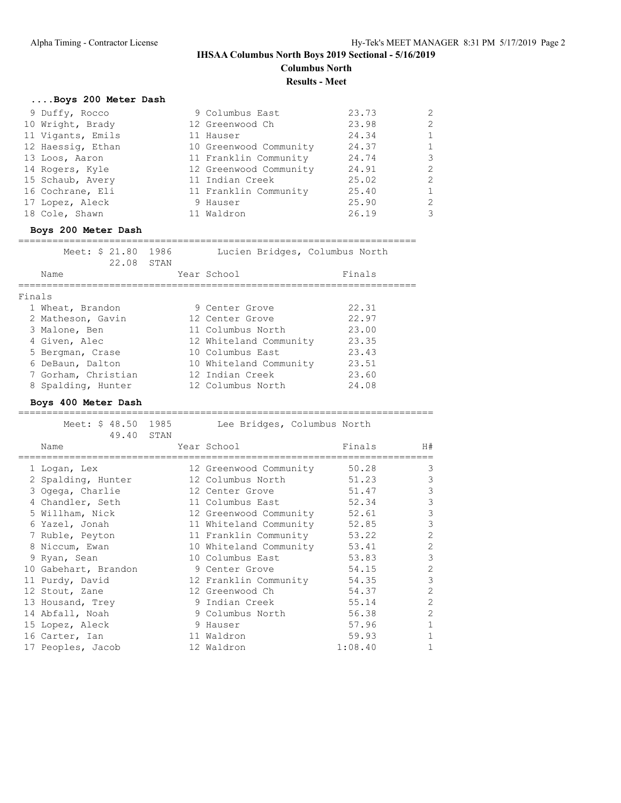## **IHSAA Columbus North Boys 2019 Sectional - 5/16/2019 Columbus North Results - Meet**

|        | Boys 200 Meter Dash     |              |                                |         |                |
|--------|-------------------------|--------------|--------------------------------|---------|----------------|
|        | 9 Duffy, Rocco          |              | 9 Columbus East                | 23.73   | 2              |
|        | 10 Wright, Brady        |              | 12 Greenwood Ch                | 23.98   | 2              |
|        | 11 Vigants, Emils       |              | 11 Hauser                      | 24.34   | $\mathbf{1}$   |
|        | 12 Haessig, Ethan       |              | 10 Greenwood Community         | 24.37   | $\mathbf 1$    |
|        | 13 Loos, Aaron          |              | 11 Franklin Community          | 24.74   | $\mathsf 3$    |
|        | 14 Rogers, Kyle         |              | 12 Greenwood Community         | 24.91   | $\mathbf{2}$   |
|        | 15 Schaub, Avery        |              | 11 Indian Creek                | 25.02   | $\mathbf{2}$   |
|        | 16 Cochrane, Eli        |              | 11 Franklin Community          | 25.40   | $\mathbf 1$    |
|        | 17 Lopez, Aleck         |              | 9 Hauser                       | 25.90   | $\mathbf{2}$   |
|        | 18 Cole, Shawn          |              | 11 Waldron                     | 26.19   | 3              |
|        | Boys 200 Meter Dash     |              |                                |         |                |
|        | Meet: \$ 21.80          | 1986         | Lucien Bridges, Columbus North |         |                |
|        | 22.08                   | STAN         |                                |         |                |
|        | Name                    |              | Year School                    | Finals  |                |
| Finals |                         |              |                                |         |                |
|        | 1 Wheat, Brandon        |              | 9 Center Grove                 | 22.31   |                |
|        | 2 Matheson, Gavin       |              | 12 Center Grove                | 22.97   |                |
|        | 3 Malone, Ben           |              | 11 Columbus North              | 23.00   |                |
|        | 4 Given, Alec           |              | 12 Whiteland Community         | 23.35   |                |
|        | 5 Bergman, Crase        |              | 10 Columbus East               | 23.43   |                |
|        | 6 DeBaun, Dalton        |              | 10 Whiteland Community         | 23.51   |                |
|        | 7 Gorham, Christian     |              | 12 Indian Creek                | 23.60   |                |
|        | 8 Spalding, Hunter      |              | 12 Columbus North              | 24.08   |                |
|        | Boys 400 Meter Dash     |              |                                |         |                |
|        | Meet: \$ 48.50<br>49.40 | 1985<br>STAN | Lee Bridges, Columbus North    |         |                |
|        | Name                    |              | Year School                    | Finals  | H#             |
|        | 1 Logan, Lex            |              | 12 Greenwood Community         | 50.28   | 3              |
|        | 2 Spalding, Hunter      |              | 12 Columbus North              | 51.23   | $\mathsf 3$    |
|        | 3 Ogega, Charlie        |              | 12 Center Grove                | 51.47   | $\mathsf 3$    |
|        | 4 Chandler, Seth        |              | 11 Columbus East               | 52.34   | $\mathsf 3$    |
|        | 5 Willham, Nick         |              | 12 Greenwood Community         | 52.61   | $\mathfrak{Z}$ |
|        | 6 Yazel, Jonah          |              | 11 Whiteland Community         | 52.85   | $\mathsf 3$    |
|        | 7 Ruble, Peyton         |              | 11 Franklin Community          | 53.22   | $\overline{c}$ |
|        | 8 Niccum, Ewan          |              | 10 Whiteland Community         | 53.41   | $\mathbf{2}$   |
|        | 9 Ryan, Sean            |              | 10 Columbus East               | 53.83   | 3              |
|        | 10 Gabehart, Brandon    |              | 9 Center Grove                 | 54.15   | $\mathbf{2}$   |
|        | 11 Purdy, David         |              | 12 Franklin Community          | 54.35   | 3              |
|        | 12 Stout, Zane          |              | 12 Greenwood Ch                | 54.37   | $\sqrt{2}$     |
|        | 13 Housand, Trey        |              | 9 Indian Creek                 | 55.14   | $\sqrt{2}$     |
|        | 14 Abfall, Noah         |              | 9 Columbus North               | 56.38   | $\mathbf{2}$   |
|        | 15 Lopez, Aleck         |              | 9 Hauser                       | 57.96   | $\mathbf 1$    |
|        | 16 Carter, Ian          |              | 11 Waldron                     | 59.93   | 1              |
|        | 17 Peoples, Jacob       |              | 12 Waldron                     | 1:08.40 | 1              |
|        |                         |              |                                |         |                |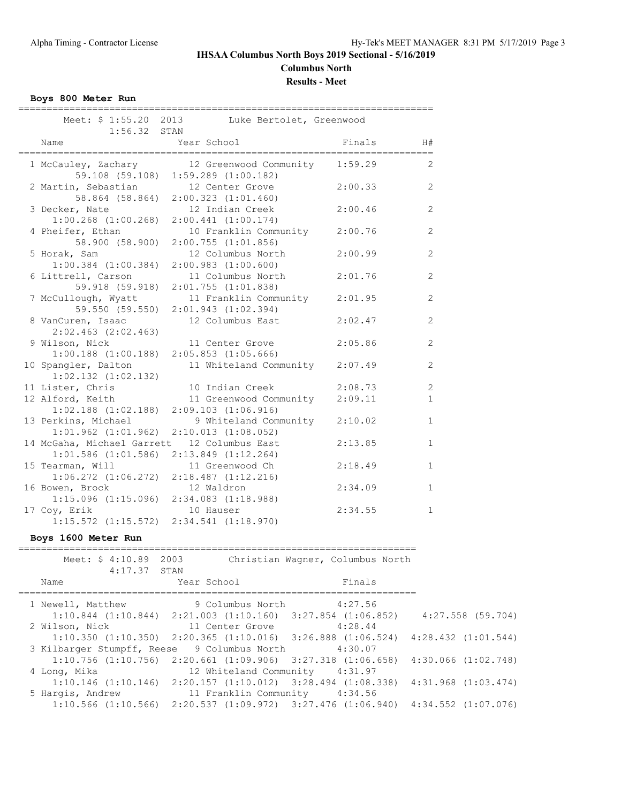### **IHSAA Columbus North Boys 2019 Sectional - 5/16/2019 Columbus North Results - Meet**

**Boys 800 Meter Run**

| $1:56.32$ STAN                                                         | Meet: \$ 1:55.20 2013 Luke Bertolet, Greenwood                |         |                |
|------------------------------------------------------------------------|---------------------------------------------------------------|---------|----------------|
| Name                                                                   | Year School                                                   | Finals  | H#             |
| 1 McCauley, Zachary                                                    | 12 Greenwood Community<br>59.108 (59.108) 1:59.289 (1:00.182) | 1:59.29 | 2              |
| 2 Martin, Sebastian 12 Center Grove                                    | 58.864 (58.864) 2:00.323 (1:01.460)                           | 2:00.33 | 2              |
| 3 Decker, Nate<br>$1:00.268$ $(1:00.268)$ $2:00.441$ $(1:00.174)$      | 12 Indian Creek                                               | 2:00.46 | 2              |
| 4 Pheifer, Ethan<br>58.900 (58.900)                                    | 10 Franklin Community<br>$2:00.755$ $(1:01.856)$              | 2:00.76 | 2              |
| 5 Horak, Sam<br>$1:00.384$ $(1:00.384)$                                | 12 Columbus North<br>$2:00.983$ $(1:00.600)$                  | 2:00.99 | $\overline{2}$ |
| 6 Littrell, Carson<br>59.918 (59.918)                                  | 11 Columbus North<br>$2:01.755$ $(1:01.838)$                  | 2:01.76 | 2              |
| 7 McCullough, Wyatt                                                    | 11 Franklin Community<br>59.550 (59.550) 2:01.943 (1:02.394)  | 2:01.95 | 2              |
| 8 VanCuren, Isaac<br>$2:02.463$ $(2:02.463)$                           | 12 Columbus East                                              | 2:02.47 | 2              |
| 9 Wilson, Nick<br>$1:00.188$ $(1:00.188)$ $2:05.853$ $(1:05.666)$      | 11 Center Grove                                               | 2:05.86 | 2              |
| 10 Spangler, Dalton<br>$1:02.132$ $(1:02.132)$                         | 11 Whiteland Community                                        | 2:07.49 | 2              |
| 11 Lister, Chris                                                       | 10 Indian Creek                                               | 2:08.73 | 2              |
| 12 Alford, Keith<br>$1:02.188$ $(1:02.188)$ $2:09.103$ $(1:06.916)$    | 11 Greenwood Community                                        | 2:09.11 | $\mathbf{1}$   |
| 13 Perkins, Michael<br>$1:01.962$ $(1:01.962)$ $2:10.013$ $(1:08.052)$ | 9 Whiteland Community                                         | 2:10.02 | $\mathbf{1}$   |
| 14 McGaha, Michael Garrett<br>$1:01.586$ $(1:01.586)$                  | 12 Columbus East<br>$2:13.849$ $(1:12.264)$                   | 2:13.85 | $\mathbf{1}$   |
| 15 Tearman, Will<br>$1:06.272$ $(1:06.272)$ $2:18.487$ $(1:12.216)$    | 11 Greenwood Ch                                               | 2:18.49 | $\mathbf 1$    |
| 16 Bowen, Brock<br>$1:15.096$ $(1:15.096)$ $2:34.083$ $(1:18.988)$     | 12 Waldron                                                    | 2:34.09 | $\mathbf 1$    |
| 17 Coy, Erik<br>$1:15.572$ $(1:15.572)$                                | 10 Hauser<br>2:34.541 (1:18.970)                              | 2:34.55 | $\mathbf{1}$   |

**Boys 1600 Meter Run**

| Meet: \$ 4:10.89 2003<br>$4:17.37$ STAN     |                                                                                               | Christian Wagner, Columbus North |                         |
|---------------------------------------------|-----------------------------------------------------------------------------------------------|----------------------------------|-------------------------|
| Name                                        | Year School                                                                                   | Finals                           |                         |
| 1 Newell, Matthew                           | 9 Columbus North 4:27.56                                                                      |                                  |                         |
|                                             | $1:10.844$ $(1:10.844)$ $2:21.003$ $(1:10.160)$ $3:27.854$ $(1:06.852)$ $4:27.558$ $(59.704)$ |                                  |                         |
| 2 Wilson, Nick                              | 11 Center Grove                                                                               | 4:28.44                          |                         |
|                                             | $1:10.350$ $(1:10.350)$ $2:20.365$ $(1:10.016)$ $3:26.888$ $(1:06.524)$                       |                                  | $4:28.432$ $(1:01.544)$ |
| 3 Kilbarger Stumpff, Reese 9 Columbus North |                                                                                               | 4:30.07                          |                         |
|                                             | $1:10.756$ $(1:10.756)$ $2:20.661$ $(1:09.906)$ $3:27.318$ $(1:06.658)$                       |                                  | $4:30.066$ $(1:02.748)$ |
| 4 Long, Mika                                | 12 Whiteland Community 4:31.97                                                                |                                  |                         |
|                                             | $1:10.146$ (1:10.146) 2:20.157 (1:10.012) 3:28.494 (1:08.338) 4:31.968 (1:03.474)             |                                  |                         |
| 5 Hargis, Andrew                            | 11 Franklin Community 4:34.56                                                                 |                                  |                         |
|                                             | $1:10.566$ (1:10.566) $2:20.537$ (1:09.972) $3:27.476$ (1:06.940) $4:34.552$ (1:07.076)       |                                  |                         |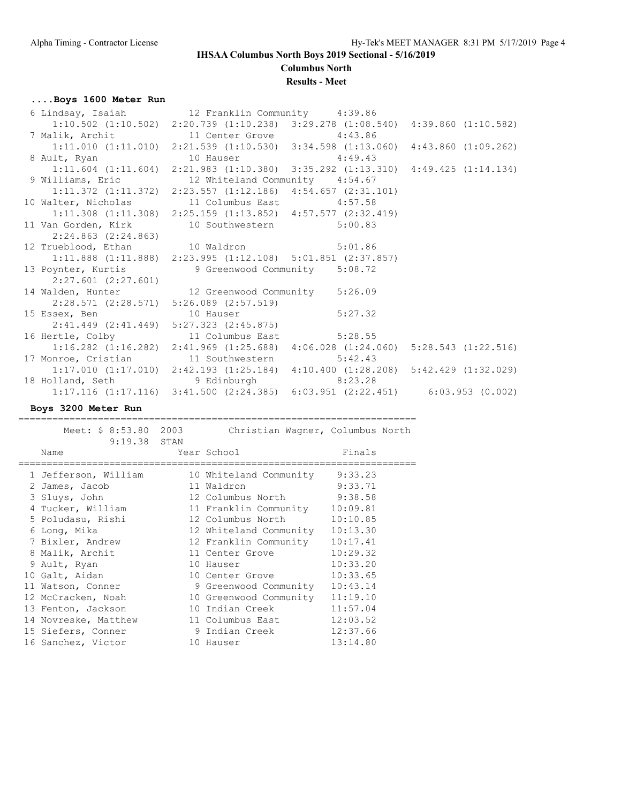**Columbus North**

#### **Results - Meet**

### **....Boys 1600 Meter Run**

| 6 Lindsay, Isaiah (12 Franklin Community (1:39.86)                                              |                                                                         |                                                                                                 |
|-------------------------------------------------------------------------------------------------|-------------------------------------------------------------------------|-------------------------------------------------------------------------------------------------|
|                                                                                                 |                                                                         | $1:10.502$ (1:10.502) $2:20.739$ (1:10.238) $3:29.278$ (1:08.540) $4:39.860$ (1:10.582)         |
| 7 Malik, Archit 11 Center Grove 4:43.86                                                         |                                                                         |                                                                                                 |
|                                                                                                 |                                                                         | $1:11.010$ $(1:11.010)$ $2:21.539$ $(1:10.530)$ $3:34.598$ $(1:13.060)$ $4:43.860$ $(1:09.262)$ |
| 8 Ault, Ryan 10 Hauser 4:49.43                                                                  |                                                                         |                                                                                                 |
|                                                                                                 |                                                                         | $1:11.604$ $(1:11.604)$ $2:21.983$ $(1:10.380)$ $3:35.292$ $(1:13.310)$ $4:49.425$ $(1:14.134)$ |
| 9 Williams, Eric 12 Whiteland Community 4:54.67                                                 |                                                                         |                                                                                                 |
| $1:11.372$ (1:11.372) $2:23.557$ (1:12.186) $4:54.657$ (2:31.101)                               |                                                                         |                                                                                                 |
| 10 Walter, Nicholas 11 Columbus East 4:57.58                                                    |                                                                         |                                                                                                 |
|                                                                                                 | $1:11.308$ (1:11.308) 2:25.159 (1:13.852) 4:57.577 (2:32.419)           |                                                                                                 |
| 11 Van Gorden, Kirk 10 Southwestern 5:00.83                                                     |                                                                         |                                                                                                 |
| 2:24.863 (2:24.863)                                                                             |                                                                         |                                                                                                 |
| 12 Trueblood, Ethan 10 Waldron 5:01.86                                                          |                                                                         |                                                                                                 |
|                                                                                                 | $1:11.888$ $(1:11.888)$ $2:23.995$ $(1:12.108)$ $5:01.851$ $(2:37.857)$ |                                                                                                 |
| 13 Poynter, Kurtis 9 Greenwood Community 5:08.72                                                |                                                                         |                                                                                                 |
| $2:27.601$ (2:27.601)                                                                           |                                                                         |                                                                                                 |
| 14 Walden, Hunter 12 Greenwood Community 5:26.09                                                |                                                                         |                                                                                                 |
| $2:28.571$ (2:28.571) 5:26.089 (2:57.519)                                                       |                                                                         |                                                                                                 |
| 15 Essex, Ben 10 Hauser 5:27.32                                                                 |                                                                         |                                                                                                 |
| 2:41.449 (2:41.449) 5:27.323 (2:45.875)                                                         |                                                                         |                                                                                                 |
| 16 Hertle, Colby 11 Columbus East 5:28.55                                                       |                                                                         |                                                                                                 |
|                                                                                                 |                                                                         | $1:16.282$ (1:16.282) 2:41.969 (1:25.688) 4:06.028 (1:24.060) 5:28.543 (1:22.516)               |
| 17 Monroe, Cristian 11 Southwestern 5:42.43                                                     |                                                                         |                                                                                                 |
| $1:17.010$ $(1:17.010)$ $2:42.193$ $(1:25.184)$ $4:10.400$ $(1:28.208)$ $5:42.429$ $(1:32.029)$ |                                                                         |                                                                                                 |
| 18 Holland, Seth 9 Edinburgh 8:23.28                                                            |                                                                         |                                                                                                 |
| $1:17.116$ $(1:17.116)$ $3:41.500$ $(2:24.385)$ $6:03.951$ $(2:22.451)$ $6:03.953$ $(0.002)$    |                                                                         |                                                                                                 |
|                                                                                                 |                                                                         |                                                                                                 |

#### **Boys 3200 Meter Run**

======================================================================

| Meet: \$ 8:53.80     | 2003 | Christian Waqner, Columbus North |          |
|----------------------|------|----------------------------------|----------|
| 9:19.38 STAN         |      |                                  |          |
| Name                 |      | Year School                      | Finals   |
|                      |      |                                  |          |
| 1 Jefferson, William |      | 10 Whiteland Community           | 9:33.23  |
| 2 James, Jacob       |      | 11 Waldron                       | 9:33.71  |
| 3 Sluys, John        |      | 12 Columbus North 9:38.58        |          |
| 4 Tucker, William    |      | 11 Franklin Community 10:09.81   |          |
| 5 Poludasu, Rishi    |      | 12 Columbus North 10:10.85       |          |
| 6 Long, Mika         |      | 12 Whiteland Community           | 10:13.30 |
| 7 Bixler, Andrew     |      | 12 Franklin Community            | 10:17.41 |
| 8 Malik, Archit      |      | 11 Center Grove                  | 10:29.32 |
| 9 Ault, Ryan         |      | 10 Hauser                        | 10:33.20 |
| 10 Galt, Aidan       |      | 10 Center Grove                  | 10:33.65 |
| 11 Watson, Conner    |      | 9 Greenwood Community            | 10:43.14 |
| 12 McCracken, Noah   |      | 10 Greenwood Community           | 11:19.10 |
| 13 Fenton, Jackson   |      | 10 Indian Creek                  | 11:57.04 |
| 14 Novreske, Matthew |      | 11 Columbus East                 | 12:03.52 |
| 15 Siefers, Conner   |      | 9 Indian Creek                   | 12:37.66 |
| 16 Sanchez, Victor   |      | 10 Hauser                        | 13:14.80 |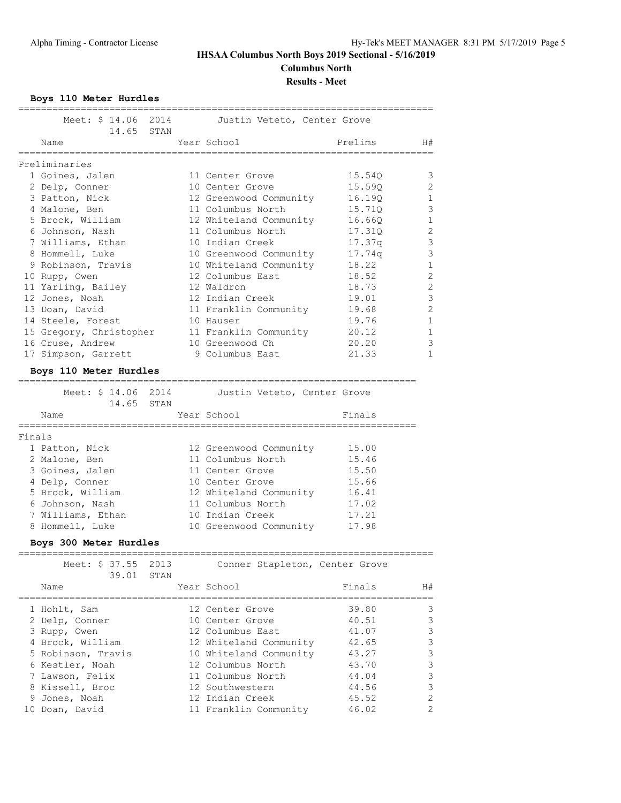### **IHSAA Columbus North Boys 2019 Sectional - 5/16/2019 Columbus North**

**Results - Meet**

**Boys 110 Meter Hurdles**

|        | ================                                   |      |              |                                                   |         |               |
|--------|----------------------------------------------------|------|--------------|---------------------------------------------------|---------|---------------|
|        | Meet: \$ 14.06 2014                                |      |              | Justin Veteto, Center Grove                       |         |               |
|        | 14.65<br>Name                                      | STAN |              | Year School                                       | Prelims | H#            |
|        |                                                    |      |              |                                                   |         |               |
|        | Preliminaries                                      |      |              |                                                   |         |               |
|        | 1 Goines, Jalen                                    |      |              | 11 Center Grove                                   | 15.54Q  | 3             |
|        | 2 Delp, Conner                                     |      |              | 10 Center Grove                                   | 15.59Q  | 2             |
|        | 3 Patton, Nick                                     |      |              | 12 Greenwood Community                            | 16.19Q  | $\mathbf{1}$  |
|        | 4 Malone, Ben                                      |      |              | 11 Columbus North                                 | 15.71Q  | $\mathcal{S}$ |
|        | 5 Brock, William                                   |      |              | 12 Whiteland Community                            | 16.66Q  | $\mathbf{1}$  |
|        | 6 Johnson, Nash                                    |      |              | 11 Columbus North                                 | 17.310  | $\mathbf{2}$  |
|        | 7 Williams, Ethan                                  |      |              | 10 Indian Creek                                   | 17.37q  | $\mathsf 3$   |
|        | 8 Hommell, Luke                                    |      |              | 10 Greenwood Community                            | 17.74q  | $\mathcal{S}$ |
|        | 9 Robinson, Travis                                 |      |              | 10 Whiteland Community                            | 18.22   | $\mathbf{1}$  |
|        | 10 Rupp, Owen                                      |      |              | 12 Columbus East                                  | 18.52   | $\mathbf{2}$  |
|        | 11 Yarling, Bailey                                 |      |              | 12 Waldron                                        | 18.73   | $\mathbf{2}$  |
|        | 12 Jones, Noah                                     |      |              | 12 Indian Creek                                   | 19.01   | $\mathcal{S}$ |
|        | 13 Doan, David                                     |      |              | 11 Franklin Community                             | 19.68   | $\mathbf{2}$  |
|        | 14 Steele, Forest                                  |      |              | 10 Hauser                                         | 19.76   | $\mathbf{1}$  |
|        | 15 Gregory, Christopher                            |      |              | 11 Franklin Community                             | 20.12   | $\mathbf{1}$  |
|        | 16 Cruse, Andrew                                   |      |              | 10 Greenwood Ch                                   | 20.20   | $\mathcal{S}$ |
|        | 17 Simpson, Garrett                                |      |              | 9 Columbus East                                   | 21.33   | $\mathbf{1}$  |
|        | Boys 110 Meter Hurdles                             |      |              |                                                   |         |               |
|        | Meet: \$ 14.06 2014                                |      |              | Justin Veteto, Center Grove                       |         |               |
|        | 14.65 STAN                                         |      |              |                                                   |         |               |
|        | Name                                               |      |              | Year School                                       | Finals  |               |
|        |                                                    |      |              |                                                   |         |               |
| Finals |                                                    |      |              |                                                   |         |               |
|        | 1 Patton, Nick                                     |      |              | 12 Greenwood Community                            | 15.00   |               |
|        | 2 Malone, Ben                                      |      |              | 11 Columbus North                                 | 15.46   |               |
|        | 3 Goines, Jalen                                    |      |              | 11 Center Grove                                   | 15.50   |               |
|        | 4 Delp, Conner                                     |      |              | 10 Center Grove                                   | 15.66   |               |
|        | 5 Brock, William                                   |      |              | 12 Whiteland Community 16.41<br>11 Columbus North |         |               |
|        | 6 Johnson, Nash                                    |      |              |                                                   | 17.02   |               |
|        | 7 Williams, Ethan                                  |      |              | 10 Indian Creek                                   | 17.21   |               |
|        | 8 Hommell, Luke                                    |      |              | 10 Greenwood Community                            | 17.98   |               |
|        | Boys 300 Meter Hurdles<br>======================== |      | ============ |                                                   |         |               |
|        | Meet: \$ 37.55                                     | 2013 |              | Conner Stapleton, Center Grove                    |         |               |
|        | 39.01                                              | STAN |              |                                                   |         |               |
|        | Name                                               |      |              | Year School                                       | Finals  | H#            |
|        | 1 Hohlt, Sam                                       |      |              | 12 Center Grove                                   | 39.80   | 3             |
|        | 2 Delp, Conner                                     |      |              | 10 Center Grove                                   | 40.51   | 3             |
|        | 3 Rupp, Owen                                       |      |              | 12 Columbus East                                  | 41.07   | 3             |
|        | 4 Brock, William                                   |      |              | 12 Whiteland Community                            | 42.65   | $\mathsf 3$   |
|        | 5 Robinson, Travis                                 |      |              | 10 Whiteland Community                            | 43.27   | $\mathsf 3$   |
|        | 6 Kestler, Noah                                    |      |              | 12 Columbus North                                 | 43.70   | $\mathsf{3}$  |
|        | 7 Lawson, Felix                                    |      |              | 11 Columbus North                                 | 44.04   | $\mathsf 3$   |
|        | 8 Kissell, Broc                                    |      |              | 12 Southwestern                                   | 44.56   | 3             |

 9 Jones, Noah 12 Indian Creek 45.52 2 10 Doan, David 11 Franklin Community 46.02 2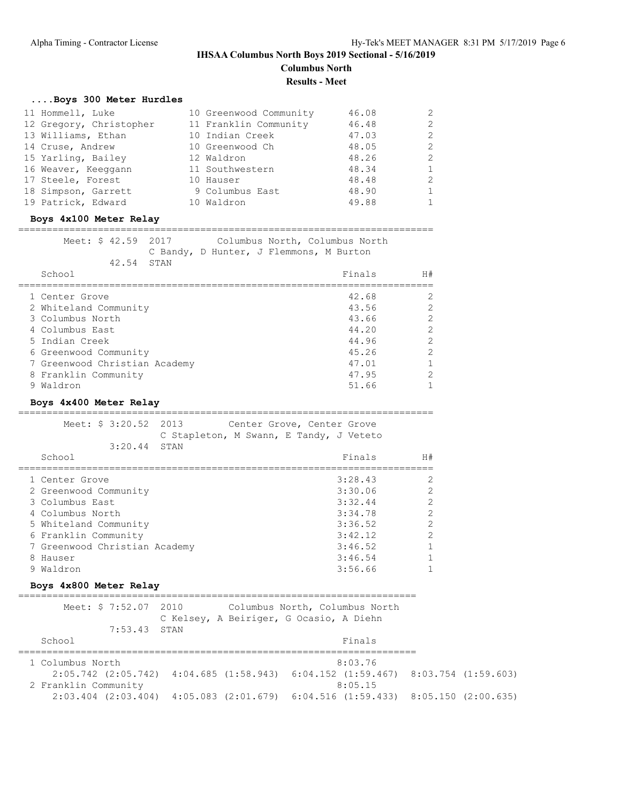#### **IHSAA Columbus North Boys 2019 Sectional - 5/16/2019 Columbus North**

**Results - Meet**

### **....Boys 300 Meter Hurdles**

| 11 Hommell, Luke        | 10 Greenwood Community | 46.08 |               |
|-------------------------|------------------------|-------|---------------|
| 12 Gregory, Christopher | 11 Franklin Community  | 46.48 | $\mathcal{L}$ |
| 13 Williams, Ethan      | 10 Indian Creek        | 47.03 | $\mathcal{L}$ |
| 14 Cruse, Andrew        | 10 Greenwood Ch        | 48.05 | $\mathcal{L}$ |
| 15 Yarling, Bailey      | 12 Waldron             | 48.26 | $\mathcal{P}$ |
| 16 Weaver, Keeqgann     | 11 Southwestern        | 48.34 |               |
| 17 Steele, Forest       | 10 Hauser              | 48.48 | $\mathcal{P}$ |
| 18 Simpson, Garrett     | 9 Columbus East        | 48.90 |               |
| 19 Patrick, Edward      | 10 Waldron             | 49.88 |               |

#### **Boys 4x100 Meter Relay**

#### =========================================================================

| Meet: \$ 42.59 2017 |  | Columbus North, Columbus North          |    |
|---------------------|--|-----------------------------------------|----|
|                     |  | C Bandy, D Hunter, J Flemmons, M Burton |    |
| 42.54 STAN          |  |                                         |    |
| School              |  | Finals                                  | H# |
|                     |  |                                         |    |

| 1 Center Grove                | 42.68 |  |
|-------------------------------|-------|--|
| 2 Whiteland Community         | 43.56 |  |
| 3 Columbus North              | 43.66 |  |
| 4 Columbus East               | 44.20 |  |
| 5 Indian Creek                | 44.96 |  |
| 6 Greenwood Community         | 45.26 |  |
| 7 Greenwood Christian Academy | 47.01 |  |
| 8 Franklin Community          | 47.95 |  |
| Waldron                       | 51.66 |  |

#### **Boys 4x400 Meter Relay**

=========================================================================

| Meet: \$ 3:20.52 2013<br>$3:20.44$ STAN | Center Grove, Center Grove<br>C Stapleton, M Swann, E Tandy, J Veteto |         |                |
|-----------------------------------------|-----------------------------------------------------------------------|---------|----------------|
| School                                  |                                                                       | Finals  | H#             |
| 1 Center Grove                          |                                                                       | 3:28.43 | 2              |
| 2 Greenwood Community                   |                                                                       | 3:30.06 | $\overline{2}$ |
| 3 Columbus East                         |                                                                       | 3:32.44 | $\overline{2}$ |
| 4 Columbus North                        |                                                                       | 3:34.78 | $\overline{2}$ |
| 5 Whiteland Community                   |                                                                       | 3:36.52 | $\overline{2}$ |
| 6 Franklin Community                    |                                                                       | 3:42.12 | $\overline{2}$ |
| 7 Greenwood Christian Academy           |                                                                       | 3:46.52 | 1              |
| 8 Hauser                                |                                                                       | 3:46.54 |                |
| 9 Waldron                               |                                                                       | 3:56.66 |                |
|                                         |                                                                       |         |                |

#### **Boys 4x800 Meter Relay**

| Meet: \$ 7:52.07 2010 | C Kelsey, A Beiriger, G Ocasio, A Diehn | Columbus North, Columbus North                                                                  |  |
|-----------------------|-----------------------------------------|-------------------------------------------------------------------------------------------------|--|
| $7:53.43$ STAN        |                                         |                                                                                                 |  |
| School                |                                         | Finals                                                                                          |  |
|                       |                                         |                                                                                                 |  |
| 1 Columbus North      |                                         | 8:03.76                                                                                         |  |
|                       |                                         | $2:05.742$ (2:05.742) $4:04.685$ (1:58.943) $6:04.152$ (1:59.467) $8:03.754$ (1:59.603)         |  |
| 2 Franklin Community  |                                         | 8:05.15                                                                                         |  |
|                       |                                         | $2:03.404$ $(2:03.404)$ $4:05.083$ $(2:01.679)$ $6:04.516$ $(1:59.433)$ $8:05.150$ $(2:00.635)$ |  |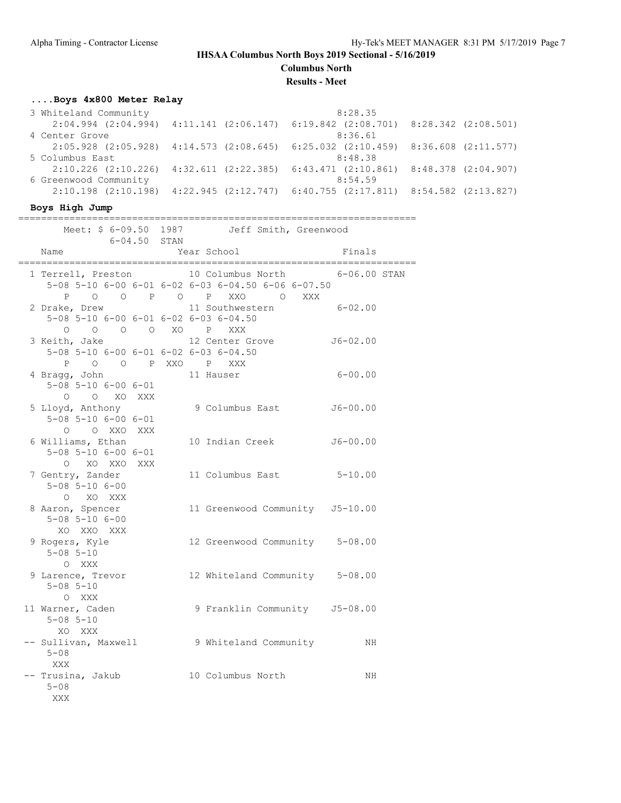**Columbus North**

**Results - Meet**

### **....Boys 4x800 Meter Relay**

| 3 Whiteland Community   |  | 8:28.35                                                                                         |  |
|-------------------------|--|-------------------------------------------------------------------------------------------------|--|
|                         |  | $2:04.994$ $(2:04.994)$ $4:11.141$ $(2:06.147)$ $6:19.842$ $(2:08.701)$ $8:28.342$ $(2:08.501)$ |  |
| 4 Center Grove          |  | 8:36.61                                                                                         |  |
|                         |  | $2:05.928$ $(2:05.928)$ $4:14.573$ $(2:08.645)$ $6:25.032$ $(2:10.459)$ $8:36.608$ $(2:11.577)$ |  |
| 5 Columbus East         |  | 8:48.38                                                                                         |  |
| $2:10.226$ $(2:10.226)$ |  | $4:32.611$ $(2:22.385)$ $6:43.471$ $(2:10.861)$ $8:48.378$ $(2:04.907)$                         |  |
| 6 Greenwood Community   |  | 8:54.59                                                                                         |  |
| $2:10.198$ $(2:10.198)$ |  | $4:22.945$ (2:12.747) 6:40.755 (2:17.811) 8:54.582 (2:13.827)                                   |  |

======================================================================

#### **Boys High Jump**

| $6 - 04.50$ STAN                                                                                             | Meet: \$ 6-09.50 1987 Jeff Smith, Greenwood |                                 |
|--------------------------------------------------------------------------------------------------------------|---------------------------------------------|---------------------------------|
| Name                                                                                                         | Year School                                 | Finals                          |
| 1 Terrell, Preston 10 Columbus North<br>$5-08$ $5-10$ $6-00$ $6-01$ $6-02$ $6-03$ $6-04.50$ $6-06$ $6-07.50$ | P O O P O P XXO O XXX                       | $6-06.00$ STAN                  |
| 2 Drake, Drew<br>5-08 5-10 6-00 6-01 6-02 6-03 6-04.50<br>0 0 0 0 XO P XXX                                   |                                             | 11 Southwestern 6-02.00         |
| 3 Keith, Jake<br>5-08 5-10 6-00 6-01 6-02 6-03 6-04.50<br>P O O P XXO P XXX                                  | 12 Center Grove                             | $J6 - 02.00$                    |
| 4 Bragg, John<br>$5 - 08$ $5 - 10$ $6 - 00$ $6 - 01$<br>O O XO XXX                                           | 11 Hauser                                   | $6 - 00.00$                     |
| 5 Lloyd, Anthony<br>$5 - 08$ $5 - 10$ $6 - 00$ $6 - 01$<br>O O XXO XXX                                       | 9 Columbus East                             | J6-00.00                        |
| 6 Williams, Ethan<br>$5 - 08$ $5 - 10$ $6 - 00$ $6 - 01$<br>O XO XXO XXX                                     | 10 Indian Creek                             | J6-00.00                        |
| 7 Gentry, Zander<br>$5 - 08$ $5 - 10$ $6 - 00$<br>O XO XXX                                                   |                                             | 11 Columbus East 5-10.00        |
| 8 Aaron, Spencer<br>$5 - 08$ $5 - 10$ $6 - 00$<br>XO XXO XXX                                                 |                                             | 11 Greenwood Community J5-10.00 |
| 9 Rogers, Kyle<br>$5 - 08$ $5 - 10$<br>O XXX                                                                 |                                             | 12 Greenwood Community 5-08.00  |
| 9 Larence, Trevor<br>$5 - 08$ $5 - 10$<br>O XXX                                                              |                                             | 12 Whiteland Community 5-08.00  |
| 11 Warner, Caden<br>$5 - 08$ $5 - 10$<br>XO XXX                                                              |                                             | 9 Franklin Community J5-08.00   |
| -- Sullivan, Maxwell 9 Whiteland Community<br>$5 - 08$<br>XXX                                                |                                             | NH                              |
| -- Trusina, Jakub<br>$5 - 08$<br>XXX                                                                         | 10 Columbus North                           | NH                              |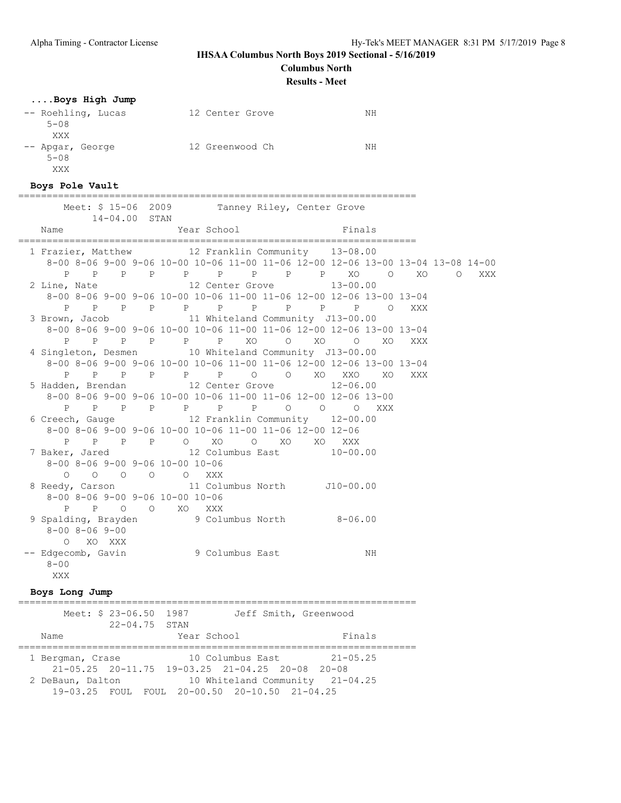#### **Columbus North**

**Results - Meet**

### **....Boys High Jump**

| -- Roehling, Lucas | 12 Center Grove | NΗ |
|--------------------|-----------------|----|
| $5 - 08$           |                 |    |
| XXX                |                 |    |
| -- Apgar, George   | 12 Greenwood Ch | NΗ |
| $5 - 08$           |                 |    |
| XXX                |                 |    |

#### **Boys Pole Vault**

======================================================================

|          |                            |               |                                                                                                 |  | Meet: \$ 15-06 2009 Tanney Riley, Center Grove                                  |  |     |  |
|----------|----------------------------|---------------|-------------------------------------------------------------------------------------------------|--|---------------------------------------------------------------------------------|--|-----|--|
| Name     |                            | 14-04.00 STAN |                                                                                                 |  | Year School Finals                                                              |  |     |  |
|          |                            |               |                                                                                                 |  | 1 Frazier, Matthew 12 Franklin Community 13-08.00                               |  |     |  |
|          |                            |               |                                                                                                 |  | 8-00 8-06 9-00 9-06 10-00 10-06 11-00 11-06 12-00 12-06 13-00 13-04 13-08 14-00 |  |     |  |
|          |                            |               |                                                                                                 |  | P P P P P P P P P XO O XO O XXX                                                 |  |     |  |
|          |                            |               |                                                                                                 |  | 2 Line, Nate $12$ Center Grove $13-00.00$                                       |  |     |  |
|          |                            |               |                                                                                                 |  | 8-00 8-06 9-00 9-06 10-00 10-06 11-00 11-06 12-00 12-06 13-00 13-04             |  |     |  |
|          |                            |               |                                                                                                 |  | P P P P P P P P P P O XXX                                                       |  |     |  |
|          |                            |               |                                                                                                 |  | 3 Brown, Jacob 11 Whiteland Community J13-00.00                                 |  |     |  |
|          |                            |               |                                                                                                 |  | 8-00 8-06 9-00 9-06 10-00 10-06 11-00 11-06 12-00 12-06 13-00 13-04             |  |     |  |
|          |                            |               |                                                                                                 |  | P P P P P P XO O XO O XO                                                        |  | XXX |  |
|          |                            |               |                                                                                                 |  | 4 Singleton, Desmen 10 Whiteland Community J13-00.00                            |  |     |  |
|          |                            |               |                                                                                                 |  | 8-00 8-06 9-00 9-06 10-00 10-06 11-00 11-06 12-00 12-06 13-00 13-04             |  |     |  |
|          |                            |               |                                                                                                 |  | P P P P P P P O O XO XXO XO XXX                                                 |  |     |  |
|          |                            |               |                                                                                                 |  | 5 Hadden, Brendan 12 Center Grove 12-06.00                                      |  |     |  |
|          |                            |               |                                                                                                 |  | 8-00 8-06 9-00 9-06 10-00 10-06 11-00 11-06 12-00 12-06 13-00                   |  |     |  |
|          |                            |               |                                                                                                 |  | P P P P P P P P O O O XXX                                                       |  |     |  |
|          |                            |               |                                                                                                 |  | 6 Creech, Gauge 12 Franklin Community 12-00.00                                  |  |     |  |
|          |                            |               |                                                                                                 |  | 8-00 8-06 9-00 9-06 10-00 10-06 11-00 11-06 12-00 12-06                         |  |     |  |
|          |                            |               |                                                                                                 |  | P P P P O XO O XO XO XXX                                                        |  |     |  |
|          |                            |               |                                                                                                 |  | 7 Baker, Jared 12 Columbus East 10-00.00                                        |  |     |  |
|          |                            |               | 8-00 8-06 9-00 9-06 10-00 10-06<br>$\begin{matrix} 0 & 0 & 0 & 0 & 0 & \text{XXX} \end{matrix}$ |  |                                                                                 |  |     |  |
|          |                            |               |                                                                                                 |  | 8 Reedy, Carson 11 Columbus North J10-00.00                                     |  |     |  |
|          |                            |               | 8-00 8-06 9-00 9-06 10-00 10-06                                                                 |  |                                                                                 |  |     |  |
|          |                            |               | P P O O XO XXX                                                                                  |  |                                                                                 |  |     |  |
|          |                            |               |                                                                                                 |  | 9 Spalding, Brayden 9 Columbus North 8-06.00                                    |  |     |  |
|          | $8 - 00$ $8 - 06$ $9 - 00$ |               |                                                                                                 |  |                                                                                 |  |     |  |
|          |                            | O XO XXX      |                                                                                                 |  |                                                                                 |  |     |  |
|          |                            |               |                                                                                                 |  | -- Edgecomb, Gavin 9 Columbus East NH                                           |  |     |  |
| $8 - 00$ |                            |               |                                                                                                 |  |                                                                                 |  |     |  |
| XXX      |                            |               |                                                                                                 |  |                                                                                 |  |     |  |
|          |                            |               |                                                                                                 |  |                                                                                 |  |     |  |

#### **Boys Long Jump**

| Meet: \$ 23-06.50 1987<br>$22 - 04.75$ STAN | Jeff Smith, Greenwood                                                                                                                                               |              |
|---------------------------------------------|---------------------------------------------------------------------------------------------------------------------------------------------------------------------|--------------|
| Name                                        | Year School                                                                                                                                                         | Finals       |
| 1 Bergman, Crase<br>2 DeBaun, Dalton        | 10 Columbus East<br>$21-05.25$ $20-11.75$ $19-03.25$ $21-04.25$ $20-08$ $20-08$<br>10 Whiteland Community 21-04.25<br>19-03.25 FOUL FOUL 20-00.50 20-10.50 21-04.25 | $21 - 05.25$ |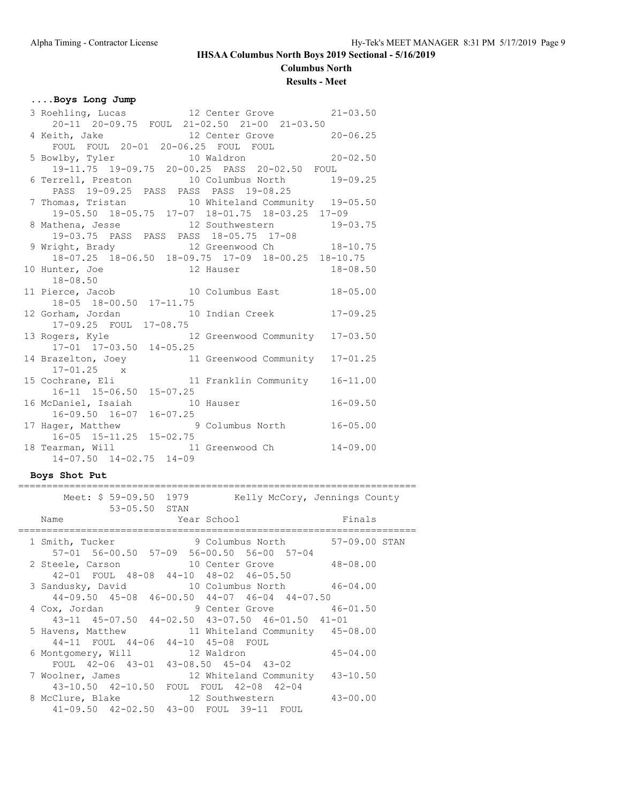# **Columbus North**

# **Results - Meet**

### **....Boys Long Jump**

| 3 Roehling, Lucas 12 Center Grove                  |                       | $21 - 03.50$ |
|----------------------------------------------------|-----------------------|--------------|
| 20-11 20-09.75 FOUL 21-02.50 21-00 21-03.50        |                       |              |
| 4 Keith, Jake 12 Center Grove 20-06.25             |                       |              |
| FOUL FOUL 20-01 20-06.25 FOUL FOUL                 |                       |              |
| 5 Bowlby, Tyler 10 Waldron 20-02.50                |                       |              |
| 19-11.75 19-09.75 20-00.25 PASS 20-02.50 FOUL      |                       |              |
| 6 Terrell, Preston 10 Columbus North 19-09.25      |                       |              |
| PASS 19-09.25 PASS PASS PASS 19-08.25              |                       |              |
| 7 Thomas, Tristan 10 Whiteland Community 19-05.50  |                       |              |
| 19-05.50 18-05.75 17-07 18-01.75 18-03.25 17-09    |                       |              |
| 8 Mathena, Jesse 12 Southwestern 19-03.75          |                       |              |
| 19-03.75 PASS PASS PASS 18-05.75 17-08             |                       |              |
| 9 Wright, Brady 12 Greenwood Ch 18-10.75           |                       |              |
| 18-07.25 18-06.50 18-09.75 17-09 18-00.25 18-10.75 |                       |              |
| 10 Hunter, Joe 12 Hauser<br>19 08 50               |                       | $18 - 08.50$ |
| $18 - 08.50$                                       |                       |              |
| 11 Pierce, Jacob 10 Columbus East                  |                       | $18 - 05.00$ |
| 18-05 18-00.50 17-11.75                            |                       |              |
| 12 Gorham, Jordan 10 Indian Creek 17-09.25         |                       |              |
| 17-09.25 FOUL 17-08.75                             |                       |              |
| 13 Rogers, Kyle 12 Greenwood Community 17-03.50    |                       |              |
| 17-01 17-03.50 14-05.25                            |                       |              |
| 14 Brazelton, Joey 11 Greenwood Community          |                       | $17 - 01.25$ |
| $17 - 01.25$ x                                     |                       |              |
| 15 Cochrane, Eli                                   | 11 Franklin Community | $16 - 11.00$ |
| 16-11 15-06.50 15-07.25                            |                       |              |
| 16 McDaniel, Isaiah 10 Hauser                      |                       | $16 - 09.50$ |
| $16-09.50$ $16-07$ $16-07.25$                      |                       |              |
| 17 Hager, Matthew 9 Columbus North                 |                       | $16 - 05.00$ |
| 16-05 15-11.25 15-02.75                            |                       |              |
| 18 Tearman, Will 31 Greenwood Ch                   |                       | $14 - 09.00$ |
| $14-07.50$ $14-02.75$ $14-09$                      |                       |              |

### **Boys Shot Put**

| Meet: \$ 59-09.50 1979                                      |  | Kelly McCory, Jennings County |
|-------------------------------------------------------------|--|-------------------------------|
| 53-05.50 STAN                                               |  |                               |
| Year School<br>Name                                         |  | <b>Example 18</b> Finals      |
| 1 Smith, Tucker 9 Columbus North 57-09.00 STAN              |  |                               |
| 57-01 56-00.50 57-09 56-00.50 56-00 57-04                   |  |                               |
| 2 Steele, Carson 10 Center Grove 48-08.00                   |  |                               |
| 42-01 FOUL 48-08 44-10 48-02 46-05.50                       |  |                               |
| 3 Sandusky, David 10 Columbus North 46-04.00                |  |                               |
| $44-09.50$ $45-08$ $46-00.50$ $44-07$ $46-04$ $44-07.50$    |  |                               |
| 4 Cox, Jordan 9 Center Grove 46-01.50                       |  |                               |
| $43-11$ $45-07.50$ $44-02.50$ $43-07.50$ $46-01.50$ $41-01$ |  |                               |
| 5 Havens, Matthew 11 Whiteland Community 45-08.00           |  |                               |
| 44-11 FOUL 44-06 44-10 45-08 FOUL                           |  |                               |
| 6 Montgomery, Will 32 Waldron                               |  | 45-04.00                      |
| FOUL 42-06 43-01 43-08.50 45-04 43-02                       |  |                               |
| 7 Woolner, James 12 Whiteland Community 43-10.50            |  |                               |
| 43-10.50 42-10.50 FOUL FOUL 42-08 42-04                     |  |                               |
| 8 McClure, Blake 12 Southwestern                            |  | 43-00.00                      |
| 41-09.50 42-02.50 43-00 FOUL 39-11 FOUL                     |  |                               |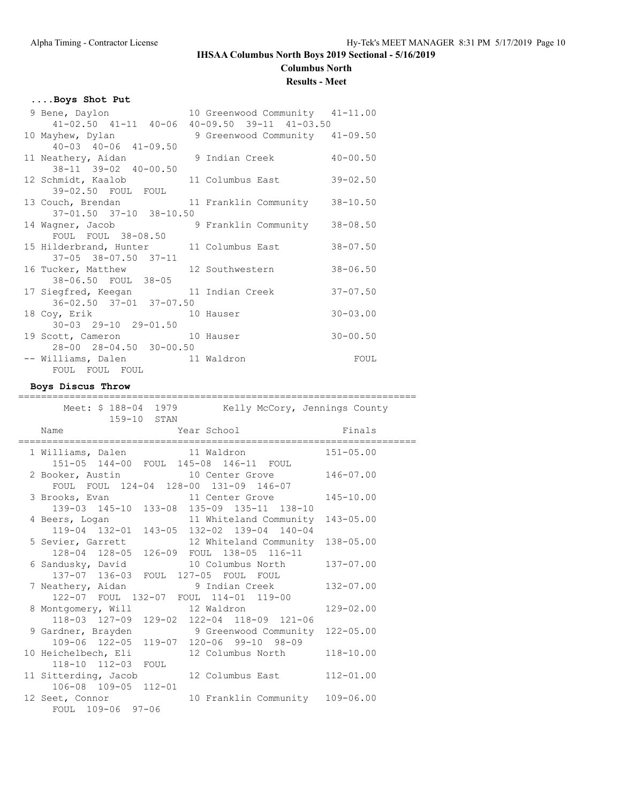**Columbus North**

#### **Results - Meet**

#### **....Boys Shot Put**

| 9 Bene, Daylon                                     | 10 Greenwood Community 41-11.00 |              |
|----------------------------------------------------|---------------------------------|--------------|
| 41-02.50 41-11 40-06 40-09.50 39-11 41-03.50       |                                 |              |
| 10 Mayhew, Dylan 50 9 Greenwood Community 41-09.50 |                                 |              |
| $40 - 03$ $40 - 06$ $41 - 09.50$                   |                                 |              |
| 11 Neathery, Aidan                                 | 9 Indian Creek                  | $40 - 00.50$ |
| 38-11 39-02 40-00.50                               |                                 |              |
| 12 Schmidt, Kaalob 11 Columbus East                |                                 | $39 - 02.50$ |
| 39-02.50 FOUL FOUL                                 |                                 |              |
| 13 Couch, Brendan 11 Franklin Community 38-10.50   |                                 |              |
| 37-01.50 37-10 38-10.50                            |                                 |              |
| 14 Wagner, Jacob 3 Franklin Community              |                                 | $38 - 08.50$ |
| FOUL FOUL 38-08.50                                 |                                 |              |
| 15 Hilderbrand, Hunter 11 Columbus East            |                                 | $38 - 07.50$ |
| $37-05$ $38-07.50$ $37-11$                         |                                 |              |
| 16 Tucker, Matthew 12 Southwestern                 |                                 | $38 - 06.50$ |
| 38-06.50 FOUL 38-05                                |                                 |              |
| 17 Siegfred, Keegan 11 Indian Creek                |                                 | $37 - 07.50$ |
| 36-02.50 37-01 37-07.50                            |                                 |              |
| 18 Coy, Erik 10 Hauser                             |                                 | $30 - 03.00$ |
| $30 - 03$ $29 - 10$ $29 - 01.50$                   |                                 |              |
| 19 Scott, Cameron 10 Hauser                        |                                 | $30 - 00.50$ |
| 28-00 28-04.50 30-00.50                            |                                 |              |
| -- Williams, Dalen 11 Waldron                      |                                 | FOUL         |
| FOUL FOUL FOUL                                     |                                 |              |

#### **Boys Discus Throw**

Meet: \$ 188-04 1979 Kelly McCory, Jennings County 159-10 STAN Name **The Year School** Finals ====================================================================== 1 Williams, Dalen 11 Waldron 151-05.00 151-05 144-00 FOUL 145-08 146-11 FOUL 2 Booker, Austin 10 Center Grove 146-07.00 FOUL FOUL 124-04 128-00 131-09 146-07 3 Brooks, Evan 11 Center Grove 145-10.00 139-03 145-10 133-08 135-09 135-11 138-10 4 Beers, Logan 11 Whiteland Community 143-05.00 119-04 132-01 143-05 132-02 139-04 140-04 5 Sevier, Garrett 12 Whiteland Community 138-05.00 128-04 128-05 126-09 FOUL 138-05 116-11 6 Sandusky, David 10 Columbus North 137-07.00 137-07 136-03 FOUL 127-05 FOUL FOUL 7 Neathery, Aidan 9 Indian Creek 132-07.00 122-07 FOUL 132-07 FOUL 114-01 119-00 8 Montgomery, Will 12 Waldron 129-02.00 118-03 127-09 129-02 122-04 118-09 121-06 9 Gardner, Brayden 9 Greenwood Community 122-05.00 109-06 122-05 119-07 120-06 99-10 98-09 10 Heichelbech, Eli 12 Columbus North 118-10.00 118-10 112-03 FOUL 11 Sitterding, Jacob 12 Columbus East 112-01.00 106-08 109-05 112-01 12 Seet, Connor 10 Franklin Community 109-06.00 FOUL 109-06 97-06

======================================================================